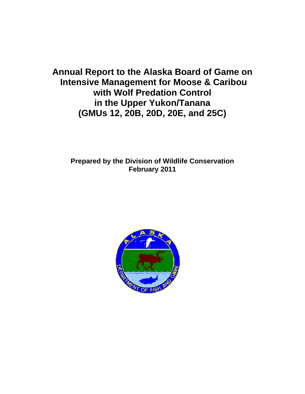**Annual Report to the Alaska Board of Game on Intensive Management for Moose & Caribou with Wolf Predation Control in the Upper Yukon/Tanana (GMUs 12, 20B, 20D, 20E, and 25C)** 

**Prepared by the Division of Wildlife Conservation February 2011**

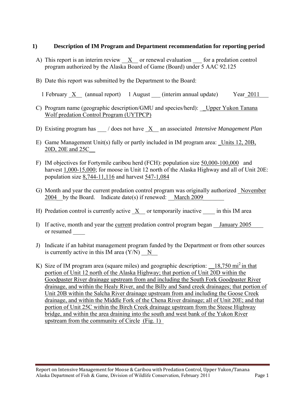#### **1) Description of IM Program and Department recommendation for reporting period**

- A) This report is an interim review  $X$  or renewal evaluation for a predation control program authorized by the Alaska Board of Game (Board) under 5 AAC 92.125
- B) Date this report was submitted by the Department to the Board:

1 February  $\underline{X}$  (annual report) 1 August (interim annual update) Year 2011

- C) Program name (geographic description/GMU and species/herd): Upper Yukon Tanana Wolf predation Control Program (UYTPCP)
- D) Existing program has \_\_\_ / does not have  $\underline{X}$  an associated *Intensive Management Plan*
- E) Game Management Unit(s) fully or partly included in IM program area: Units 12, 20B, 20D, 20E and 25C\_\_
- F) IM objectives for Fortymile caribou herd (FCH): population size 50,000-100,000 and harvest 1,000-15,000; for moose in Unit 12 north of the Alaska Highway and all of Unit 20E: population size 8,744-11,116 and harvest 547-1,084
- G) Month and year the current predation control program was originally authorized November 2004 by the Board. Indicate date(s) if renewed: March 2009
- H) Predation control is currently active  $X$  or temporarily inactive  $\cdots$  in this IM area
- I) If active, month and year the current predation control program began Lanuary 2005 or resumed
- J) Indicate if an habitat management program funded by the Department or from other sources is currently active in this IM area  $(Y/N)$  N
- K) Size of IM program area (square miles) and geographic description:  $18,750 \text{ mi}^2$  in that portion of Unit 12 north of the Alaska Highway; that portion of Unit 20D within the Goodpaster River drainage upstream from and including the South Fork Goodpaster River drainage, and within the Healy River, and the Billy and Sand creek drainages; that portion of Unit 20B within the Salcha River drainage upstream from and including the Goose Creek drainage, and within the Middle Fork of the Chena River drainage; all of Unit 20E; and that portion of Unit 25C within the Birch Creek drainage upstream from the Steese Highway bridge, and within the area draining into the south and west bank of the Yukon River upstream from the community of Circle (Fig. 1)\_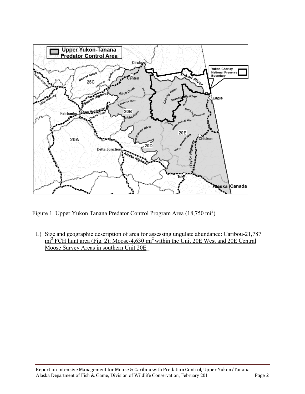

Figure 1. Upper Yukon Tanana Predator Control Program Area (18,750 mi<sup>2</sup>)

L) Size and geographic description of area for assessing ungulate abundance: Caribou-21,787 mi<sup>2</sup> FCH hunt area (Fig. 2); Moose-4,630 mi<sup>2</sup> within the Unit 20E West and 20E Central Moose Survey Areas in southern Unit 20E\_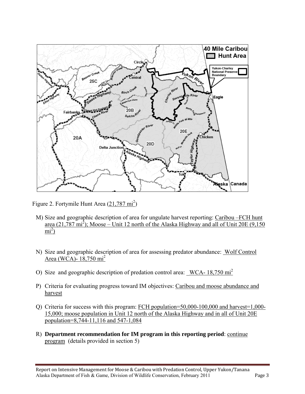

Figure 2. Fortymile Hunt Area  $(21,787 \text{ mi}^2)$ 

- M) Size and geographic description of area for ungulate harvest reporting: Caribou –FCH hunt area  $(21,787 \text{ mi}^2)$ ; Moose – Unit 12 north of the Alaska Highway and all of Unit 20E (9,150)  $\text{mi}^2$ )
- N) Size and geographic description of area for assessing predator abundance: Wolf Control Area (WCA)- 18,750 mi<sup>2</sup>
- O) Size and geographic description of predation control area:  $WCA-18,750 \text{ mi}^2$
- P) Criteria for evaluating progress toward IM objectives: Caribou and moose abundance and harvest
- Q) Criteria for success with this program: FCH population=50,000-100,000 and harvest=1,000- 15,000; moose population in Unit 12 north of the Alaska Highway and in all of Unit 20E population=8,744-11,116 and 547-1,084
- R) **Department recommendation for IM program in this reporting period**: continue program (details provided in section 5)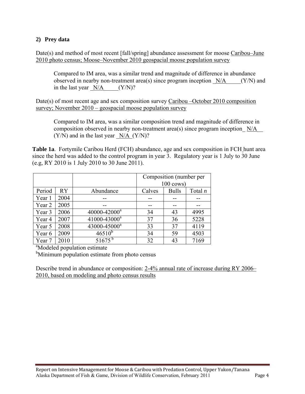## **2) Prey data**

Date(s) and method of most recent [fall/spring] abundance assessment for moose Caribou–June 2010 photo census; Moose–November 2010 geospacial moose population survey

Compared to IM area, was a similar trend and magnitude of difference in abundance observed in nearby non-treatment area(s) since program inception  $N/A$  (Y/N) and in the last year  $N/A$  (Y/N)?

Date(s) of most recent age and sex composition survey Caribou –October 2010 composition survey; November 2010 – geospacial moose population survey

Compared to IM area, was a similar composition trend and magnitude of difference in composition observed in nearby non-treatment area(s) since program inception  $N/A$  $(Y/N)$  and in the last year  $N/A$   $(Y/N)$ ?

**Table 1a**. Fortymile Caribou Herd (FCH) abundance, age and sex composition in FCH hunt area since the herd was added to the control program in year 3. Regulatory year is 1 July to 30 June (e.g, RY 2010 is 1 July 2010 to 30 June 2011).

|                                          |      |                          | Composition (number per |                      |           |  |
|------------------------------------------|------|--------------------------|-------------------------|----------------------|-----------|--|
|                                          |      |                          |                         | $100 \text{ cows}$ ) |           |  |
| Period                                   | RY   | Abundance                | Calves                  | <b>Bulls</b>         | Total $n$ |  |
| Year 1                                   | 2004 |                          |                         |                      |           |  |
| Year 2                                   | 2005 | --                       |                         |                      |           |  |
| Year 3                                   | 2006 | 40000-42000 <sup>a</sup> | 34                      | 43                   | 4995      |  |
| Year 4                                   | 2007 | 41000-43000 <sup>a</sup> | 37                      | 36                   | 5228      |  |
| Year 5                                   | 2008 | 43000-45000 <sup>a</sup> | 33                      | 37                   | 4119      |  |
| Year 6                                   | 2009 | $46510^{b}$              | 34                      | 59                   | 4503      |  |
| Year 7                                   | 2010 | $51675^{\mathrm{b}}$     | 32                      | 43                   | 7169      |  |
| <sup>a</sup> Modeled population estimate |      |                          |                         |                      |           |  |

<sup>b</sup>Minimum population estimate from photo census

Describe trend in abundance or composition: 2-4% annual rate of increase during RY 2006– 2010, based on modeling and photo census results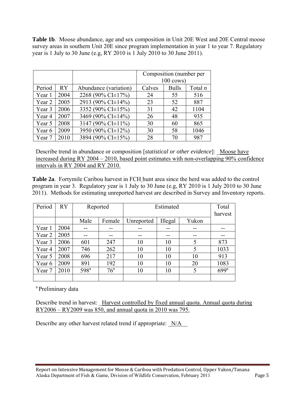**Table 1b**. Moose abundance, age and sex composition in Unit 20E West and 20E Central moose survey areas in southern Unit 20E since program implementation in year 1 to year 7. Regulatory year is 1 July to 30 June (e.g, RY 2010 is 1 July 2010 to 30 June 2011).

|        |      |                         |        | Composition (number per |           |
|--------|------|-------------------------|--------|-------------------------|-----------|
|        |      |                         |        | $100 \text{ cows}$      |           |
| Period | RY   | Abundance (variation)   | Calves | <b>Bulls</b>            | Total $n$ |
| Year 1 | 2004 | 2268 (90% CI $\pm$ 17%) | 24     | 55                      | 516       |
| Year 2 | 2005 | 2913 (90% CI±14%)       | 23     | 52                      | 887       |
| Year 3 | 2006 | 3352 (90% CI±15%)       | 31     | 42                      | 1104      |
| Year 4 | 2007 | 3469 (90% CI±14%)       | 26     | 48                      | 935       |
| Year 5 | 2008 | 3147 (90% CI $\pm$ 11%) | 30     | 60                      | 865       |
| Year 6 | 2009 | 3950 (90% CI±12%)       | 30     | 58                      | 1046      |
| Year 7 | 2010 | 3894 (90% CI±15%)       | 28     | 70                      | 987       |

Describe trend in abundance or composition [*statistical or other evidence*]: Moose have increased during RY 2004 – 2010, based point estimates with non-overlapping 90% confidence intervals in RY 2004 and RY 2010.

**Table 2a**. Fortymile Caribou harvest in FCH hunt area since the herd was added to the control program in year 3. Regulatory year is 1 July to 30 June (e.g, RY 2010 is 1 July 2010 to 30 June 2011). Methods for estimating unreported harvest are described in Survey and Inventory reports.

| Period | RY   | Reported         |                 | Estimated  |         |       | Total            |  |
|--------|------|------------------|-----------------|------------|---------|-------|------------------|--|
|        |      |                  |                 |            |         |       |                  |  |
|        |      | Male             | Female          | Unreported | Illegal | Yukon |                  |  |
| Year 1 | 2004 |                  |                 |            |         |       |                  |  |
| Year 2 | 2005 |                  | --              | --         |         |       | --               |  |
| Year 3 | 2006 | 601              | 247             | 10         | 10      | 5     | 873              |  |
| Year 4 | 2007 | 746              | 262             | 10         | 10      | 5     | 1033             |  |
| Year 5 | 2008 | 696              | 217             | 10         | 10      | 10    | 913              |  |
| Year 6 | 2009 | 891              | 192             | 10         | 10      | 20    | 1083             |  |
| Year 7 | 2010 | 598 <sup>a</sup> | 76 <sup>a</sup> | 10         | 10      | 5     | 699 <sup>a</sup> |  |
|        |      |                  |                 |            |         |       |                  |  |

<sup>a</sup> Preliminary data

Describe trend in harvest: Harvest controlled by fixed annual quota. Annual quota during RY2006 – RY2009 was 850, and annual quota in 2010 was 795.

Describe any other harvest related trend if appropriate:  $N/A$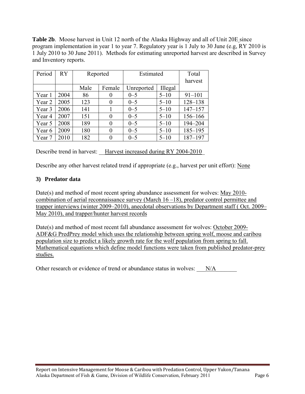**Table 2b**. Moose harvest in Unit 12 north of the Alaska Highway and all of Unit 20E since program implementation in year 1 to year 7. Regulatory year is 1 July to 30 June (e.g, RY 2010 is 1 July 2010 to 30 June 2011). Methods for estimating unreported harvest are described in Survey and Inventory reports.

| Period | RY   | Reported |          | Estimated  |          | Total       |
|--------|------|----------|----------|------------|----------|-------------|
|        |      |          |          |            |          |             |
|        |      | Male     | Female   | Unreported | Illegal  |             |
| Year 1 | 2004 | 86       | $\theta$ | $0 - 5$    | $5 - 10$ | $91 - 101$  |
| Year 2 | 2005 | 123      | 0        | $0 - 5$    | $5 - 10$ | 128-138     |
| Year 3 | 2006 | 141      |          | $0 - 5$    | $5 - 10$ | $147 - 157$ |
| Year 4 | 2007 | 151      | 0        | $0 - 5$    | $5 - 10$ | 156-166     |
| Year 5 | 2008 | 189      | 0        | $0 - 5$    | $5 - 10$ | 194-204     |
| Year 6 | 2009 | 180      | 0        | $0 - 5$    | $5 - 10$ | $185 - 195$ |
| Year 7 | 2010 | 182      |          | $0 - 5$    | $5 - 10$ | $187 - 197$ |

Describe trend in harvest: Harvest increased during RY 2004-2010

Describe any other harvest related trend if appropriate (e.g., harvest per unit effort): None

# **3) Predator data**

Date(s) and method of most recent spring abundance assessment for wolves: May 2010 combination of aerial reconnaissance survey (March 16 –18), predator control permittee and trapper interviews (winter 2009–2010), anecdotal observations by Department staff ( Oct. 2009– May 2010), and trapper/hunter harvest records

Date(s) and method of most recent fall abundance assessment for wolves: October 2009- ADF&G PredPrey model which uses the relationship between spring wolf, moose and caribou population size to predict a likely growth rate for the wolf population from spring to fall. Mathematical equations which define model functions were taken from published predator-prey studies.

Other research or evidence of trend or abundance status in wolves:  $N/A$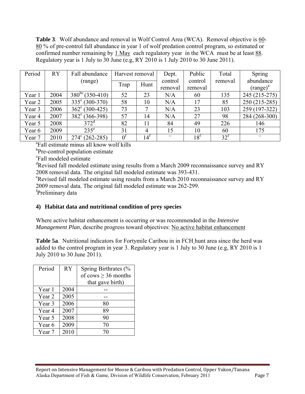**Table 3**. Wolf abundance and removal in Wolf Control Area (WCA). Removal objective is 60- 80 % of pre-control fall abundance in year 1 of wolf predation control program, so estimated or confirmed number remaining by 1 May each regulatory year in the WCA must be at least 88. Regulatory year is 1 July to 30 June (e.g, RY 2010 is 1 July 2010 to 30 June 2011).

| Period | <b>RY</b> | Fall abundance          | Harvest removal |                   | Dept.   | Public          | Total             | Spring        |
|--------|-----------|-------------------------|-----------------|-------------------|---------|-----------------|-------------------|---------------|
|        |           | (range)                 |                 |                   | control | control         | removal           | abundance     |
|        |           |                         | Trap            | Hunt              | removal | removal         |                   | $(range)^a$   |
| Year 1 | 2004      | $380^{bc}$ (350-410)    | 52              | 23                | N/A     |                 | 135               | 245 (215-275) |
|        |           |                         |                 |                   |         | 60              |                   |               |
| Year 2 | 2005      | $335^{\circ}$ (300-370) | 58              | 10                | N/A     |                 | 85                | 250 (215-285) |
| Year 3 | 2006      | $362^{\circ}$ (300-425) | 73              | 7                 | N/A     | 23              | 103               | 259 (197-322) |
| Year 4 | 2007      | $382^{\circ}$ (366-398) | 57              | 14                | N/A     | 27              | 98                | 284 (268-300) |
| Year 5 | 2008      | 372 <sup>d</sup>        | 82              | 11                | 84      | 49              | 226               | 146           |
| Year 6 | 2009      | $235^{\circ}$           | 31              | $\overline{4}$    | 15      | 10              | 60                | 175           |
| Year 7 | 2010      | $274^{\circ}$ (262-285) | 0 <sup>1</sup>  | $14^{\mathrm{t}}$ |         | $18^{\text{t}}$ | $32^{\mathrm{t}}$ |               |

a Fall estimate minus all know wolf kills

<sup>b</sup>Pre-control population estimate

c Fall modeled estimate

<sup>d</sup>Revised fall modeled estimate using results from a March 2009 reconnaissance survey and RY 2008 removal data. The original fall modeled estimate was 393-431.

<sup>e</sup>Revised fall modeled estimate using results from a March 2010 reconnaissance survey and RY 2009 removal data. The original fall modeled estimate was 262-299.

fPreliminary data

#### **4) Habitat data and nutritional condition of prey species**

Where active habitat enhancement is occurring or was recommended in the *Intensive Management Plan*, describe progress toward objectives: No active habitat enhancement

**Table 5a**. Nutritional indicators for Fortymile Caribou in in FCH hunt area since the herd was added to the control program in year 3. Regulatory year is 1 July to 30 June (e.g, RY 2010 is 1 July 2010 to 30 June 2011).

| Period | <b>RY</b> | Spring Birthrates (%     |  |  |
|--------|-----------|--------------------------|--|--|
|        |           | of cows $\geq$ 36 months |  |  |
|        |           | that gave birth)         |  |  |
| Year 1 | 2004      |                          |  |  |
| Year 2 | 2005      |                          |  |  |
| Year 3 | 2006      | 80                       |  |  |
| Year 4 | 2007      | 89                       |  |  |
| Year 5 | 2008      | 90                       |  |  |
| Year 6 | 2009      | 70                       |  |  |
| Year 7 | 2010      | 70                       |  |  |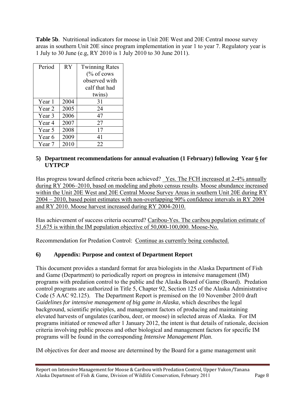**Table 5b**. Nutritional indicators for moose in Unit 20E West and 20E Central moose survey areas in southern Unit 20E since program implementation in year 1 to year 7. Regulatory year is 1 July to 30 June (e.g, RY 2010 is 1 July 2010 to 30 June 2011).

| Period | <b>RY</b> | <b>Twinning Rates</b> |
|--------|-----------|-----------------------|
|        |           | $%$ of cows           |
|        |           | observed with         |
|        |           | calf that had         |
|        |           | twins)                |
| Year 1 | 2004      | 31                    |
| Year 2 | 2005      | 24                    |
| Year 3 | 2006      | 47                    |
| Year 4 | 2007      | 27                    |
| Year 5 | 2008      | 17                    |
| Year 6 | 2009      | 41                    |
| Year 7 | 2010      | 22                    |

### 5) **Department recommendations for annual evaluation (1 February) following Year 6 for UYTPCP**

Has progress toward defined criteria been achieved? Yes. The FCH increased at 2-4% annually during RY 2006–2010, based on modeling and photo census results. Moose abundance increased within the Unit 20E West and 20E Central Moose Survey Areas in southern Unit 20E during RY 2004 – 2010, based point estimates with non-overlapping 90% confidence intervals in RY 2004 and RY 2010. Moose harvest increased during RY 2004-2010.

Has achievement of success criteria occurred? Caribou-Yes. The caribou population estimate of 51,675 is within the IM population objective of 50,000-100,000. Moose-No.

Recommendation for Predation Control: Continue as currently being conducted.

# **6) Appendix: Purpose and context of Department Report**

This document provides a standard format for area biologists in the Alaska Department of Fish and Game (Department) to periodically report on progress in intensive management (IM) programs with predation control to the public and the Alaska Board of Game (Board). Predation control programs are authorized in Title 5, Chapter 92, Section 125 of the Alaska Administrative Code (5 AAC 92.125). The Department Report is premised on the 10 November 2010 draft *Guidelines for intensive management of big game in Alaska*, which describes the legal background, scientific principles, and management factors of producing and maintaining elevated harvests of ungulates (caribou, deer, or moose) in selected areas of Alaska. For IM programs initiated or renewed after 1 January 2012, the intent is that details of rationale, decision criteria involving public process and other biological and management factors for specific IM programs will be found in the corresponding *Intensive Management Plan*.

IM objectives for deer and moose are determined by the Board for a game management unit